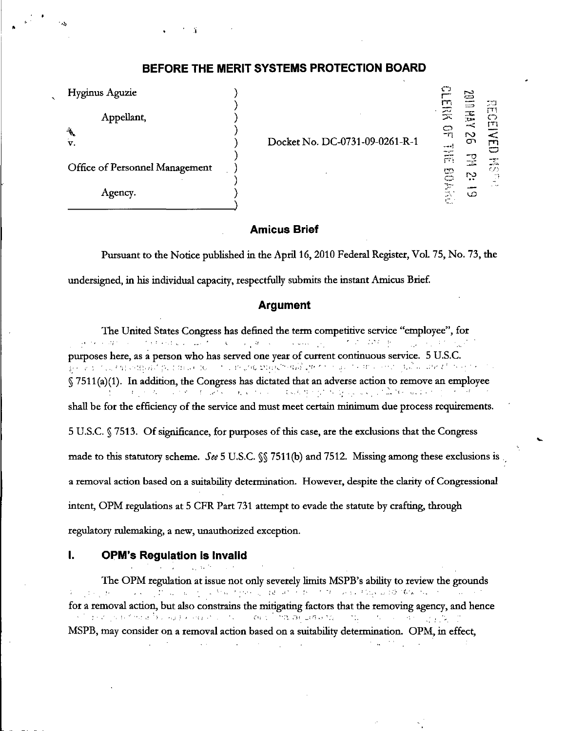# BEFORE THE MERIT SYSTEMS PROTECTION BOARD

| Hyginus Aguzie                 |                                |                                                        | دست                                                              |                                          |
|--------------------------------|--------------------------------|--------------------------------------------------------|------------------------------------------------------------------|------------------------------------------|
| Appellant,                     |                                | г<br>豪                                                 | $\equiv$<br>$\overline{\phantom{a}}$<br>$\sim$<br><b>ALL AND</b> | 50<br>ŗΥ<br>$\subset$<br>ך"ז             |
| $\frac{1}{2}$<br>v.            | Docket No. DC-0731-09-0261-R-1 | $-0.96$                                                | Œ                                                                |                                          |
| Office of Personnel Management |                                | میں بعد<br>$\frac{1}{\sqrt{2}}$<br>ొ<br>$\mathbb{C}^n$ | N<br>$\bullet$                                                   | $\frac{1}{\sqrt{\omega}}$<br>C Z 3<br>Ξĭ |
| Agency.                        |                                | $\sim$<br>W.<br>¦m.                                    | ۱O                                                               |                                          |

## Amicus Brief

Pursuant to the Notice published in the April 16,2010 Federal Register, Vol. 75, No. 73, the undersigned, in his individual capacity, respectfully submits the instant Amicus Brief.

#### Argument

The United States Congress has defined the term competitive service "employee", for المنازلي المتعاقبات المناطقي والمناف الأناطي والقطاوية فعالا  $\sim 5\%$  ,  $\sim 2457\%$  for **County of the State Support** Control purposes here, as a person who has served one year of current continuous service. 5 U.S.C. § 7511(a)(1). In addition, the Congress has dictated that an adverse action to remove an employee  $\mathcal{L}^{\mathcal{L}}$  and the set of the set of the set of the set of the set of the set of the set of the set of the set of the set of the set of the set of the set of the set of the set of the set of the set of the set of the  $\mathcal{L}(\mathcal{A})$  , and  $\mathcal{L}(\mathcal{A})$  , and shall be for the efficiency of the service and must meet certain minimum due process requirements. 5 U.S.C. § 7513. Of significance, for purposes of this case, are the exclusions that the Congress made to this statutory scheme. See 5 U.S.C. §§ 7511(b) and 7512. Missing among these exclusions is a removal action based on a suitability determination. However, despite the clarity of Congressional intent, OPM regulations at 5 CFR Part 731 attempt to evade the statute by crafting, through regulatory rulemaking, a new, unauthorized exception.

## I. OPM's Regulation is Invalid

 $\mathcal{A}=\mathcal{A}$  , where  $\mathcal{A}=\mathcal{A}$  , and The OPM regulation at issue not only severely limits MSPB's ability to review the grounds 实验 医静脉肌 化二氯化物 网络红斑 化键 的复数形式 电子的双半路 网络阿斯斯加尔  $\mathcal{L}_{\text{max}}$  and  $\mathcal{L}_{\text{max}}$ for a removal action, but also constrains the mitigating factors that the removing agency, and hence າທີ່ ສຳລັດຖະມົນ " " ແລະ ອື່ນ ແລະ ສະມາດ ແລະ ກ່າວ ກ່າວ ແລະ ເພື່ອຫລັດ ພອມເອກ."  $\mathcal{L}_{\text{max}}^{\text{max}}$ (ない) (の) (の) (の) MSPB, may consider on a removal action based on a suitability determination. OPM, in effect,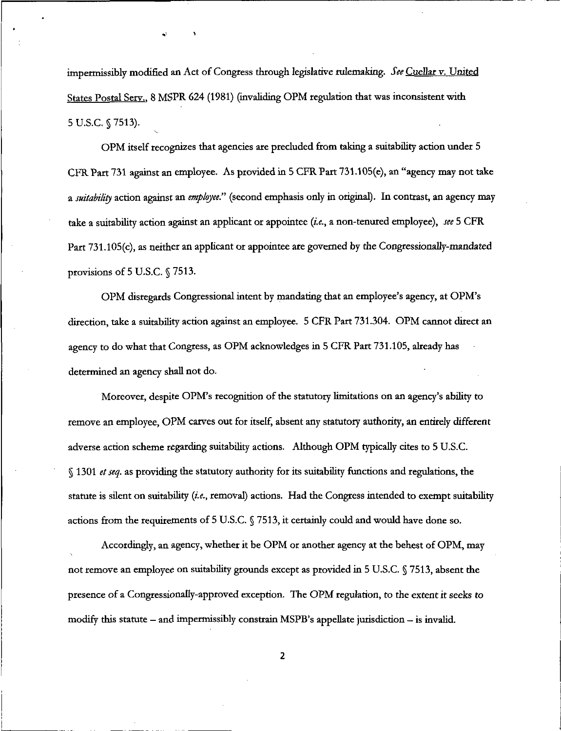impermissibly modified an Act of Congress through legislative rulemaking. See Cuellar v. United States Postal Serv.. 8 MSPR 624 (1981) (invaliding OPM regulation that was inconsistent with 5U.S.C. §7513).  $\ddot{\phantom{0}}$ 

OPM itself recognizes that agencies are precluded from taking a suitability action under 5 CFR Part 731 against an employee. As provided in 5 CFR Part  $731.105(e)$ , an "agency may not take a suitability action against an employee." (second emphasis only in original). In contrast, an agency may take a suitability action against an applicant or appointee (*i.e.*, a non-tenured employee), see  $5$  CFR Part 731.l05(c), as neither an applicant or appointee are governed by the Congressionally-mandated provisions of 5 U.S.C. § 7513.

OPM disregards Congressional intent by mandating that an employee's agency, at OPM's direction, take a suitability action against an employee. 5 CFR Part 731.304. OPM cannot direct an agency to do what that Congress, as OPM acknowledges in 5 CFR Part 731.105, already has determined an agency shall not do.

Moreover, despite OPM's recognition of the statutory limitations on an agency's ability to remove an employee, OPM carves out for itself, absent any statutory authority, an entirely different adverse action scheme regarding suitability actions. Although OPM typically cites to 5 U.S.C.  $§$  1301 *et seq.* as providing the statutory authority for its suitability functions and regulations, the statute is silent on suitability (i.e., removal) actions. Had the Congress intended to exempt suitability actions from the requirements of 5 U.S.C. § 7513, it certainly could and would have done so.

Accordingly, an agency, whether it be OPM or another agency at the behest of OPM, may not remove an employee on suitability grounds except as provided in 5 U.S.C. § 7513, absent the presence of a Congressionally-approved exception. The OPM regulation, to the extent it seeks to modify this statute — and impermissibly constrain MSPB's appellate jurisdiction — is invalid.

 $\overline{\mathbf{2}}$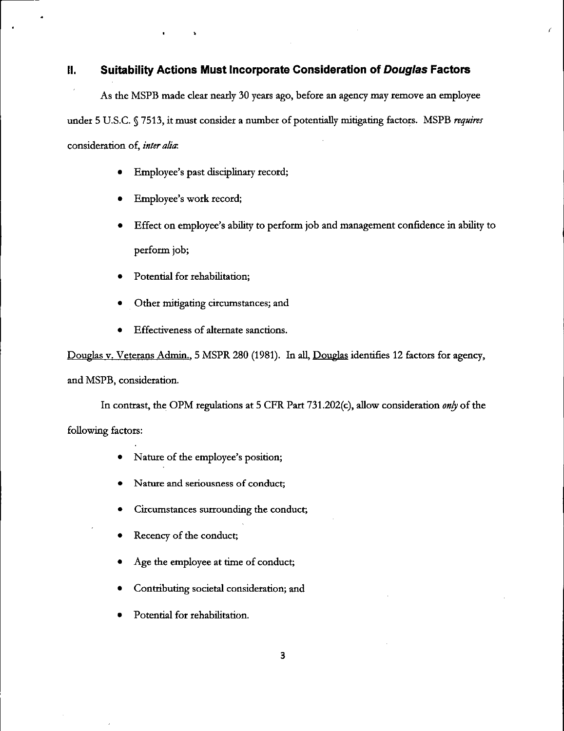# II. Suitability Actions Must Incorporate Consideration of Douglas Factors

As the MSPB made clear nearly 30 years ago, before an agency may remove an employee under 5 U.S.C. § 7513, it must consider a number of potentially mitigating factors. MSPB requires consideration of, inter alia:

- Employee's past disciplinary record;
- Employee's work record;
- Effect on employee's ability to perform job and management confidence in ability to perform job;
- Potential for rehabilitation;
- Other mitigating circumstances; and
- Effectiveness of alternate sanctions.

Douglas v. Veterans Admin., 5 MSPR 280 (1981). In all, Douglas identifies 12 factors for agency, and MSPB, consideration.

In contrast, the OPM regulations at 5 CFR Part 731.202(c), allow consideration only of the following factors:

- Nature of the employee's position;
- Nature and seriousness of conduct;
- Circumstances surrounding the conduct;
- Recency of the conduct;
- Age the employee at time of conduct;
- Contributing societal consideration; and
- Potential for rehabilitation.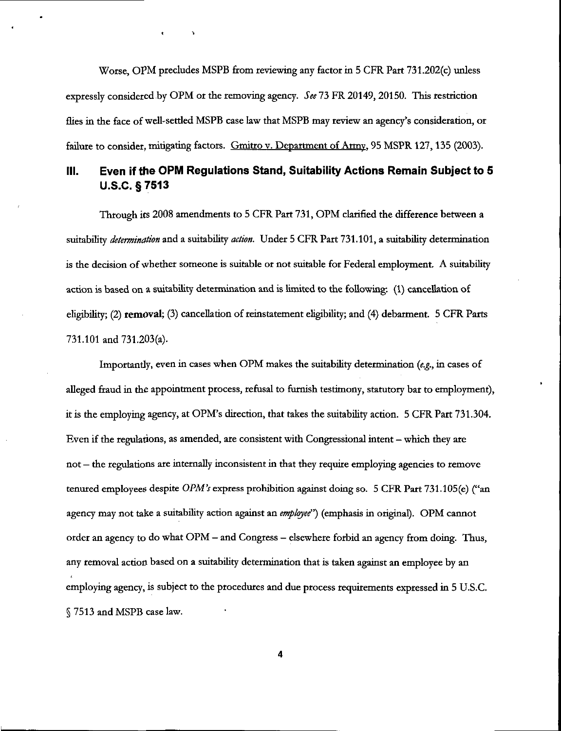Worse, OPM precludes MSPB from reviewing any factor in 5 CFR Part 731.202(c) unless expressly considered by OPM or the removing agency. See 73 FR 20149, 20150. This restriction flies in the face of well-settled MSPB case law that MSPB may review an agency's consideration, or failure to consider, mitigating factors. Gmitro v. Department of Army, 95 MSPR 127, 135 (2003).

 $\mathbf{v}$ 

# III. Even if the OPM Regulations Stand, Suitability Actions Remain Subject to 5 U.S.C. §7513

Through its 2008 amendments to 5 CFR Part 731, OPM clarified the difference between a suitability determination and a suitability action. Under 5 CFR Part 731.101, a suitability determination is the decision of whether someone is suitable or not suitable for Federal employment. A suitability action is based on a suitability determination and is limited to the following: (1) cancellation of eligibility; (2) removal; (3) cancellation of reinstatement eligibility; and (4) debarment. 5 CFR Parts 731.101 and 731.203(a).

Importantly, even in cases when OPM makes the suitability determination  $(e.g.,$  in cases of alleged fraud in the appointment process, refusal to furnish testimony, statutory bar to employment), it is the employing agency, at OPM's direction, that takes the suitability action. 5 CFR Part 731.304. Even if the regulations, as amended, are consistent with Congressional intent — which they are not — the regulations are internally inconsistent in that they require employing agencies to remove tenured employees despite OPM's express prohibition against doing so. 5 CFR Part 731.105(e) ("an agency may not take a suitability action against an employee") (emphasis in original). OPM cannot order an agency to do what OPM — and Congress - elsewhere forbid an agency from doing. Thus, any removal action based on a suitability determination that is taken against an employee by an employing agency, is subject to the procedures and due process requirements expressed in 5 U.S.C. 7513 and MSPB case law.

 $\overline{\mathbf{4}}$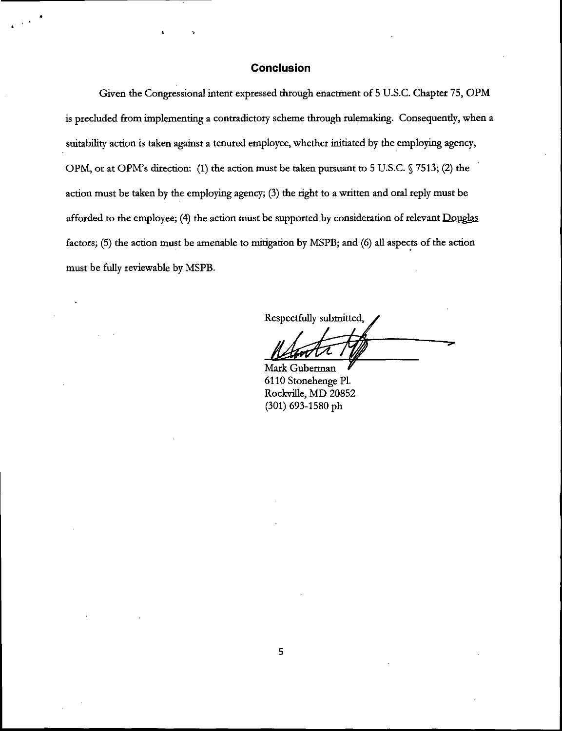## Conclusion

Given the Congressional intent expressed through enactment of 5 U.S.C. Chapter 75, OPM is precluded from implementing a contradictory scheme through rulemaking. Consequently, when a suitability action is taken against a tenured employee, whether initiated by the employing agency, OPM, or at OPM's direction: (1) the action must be taken pursuant to 5 U.S.C. § 7513; (2) the action must be taken by the employing agency; (3) the right to a written and oral reply must be afforded to the employee; (4) the action must be supported by consideration of relevant Douglas factors; (5) the action must be amenable to mitigation by MSPB; and (6) all aspects of the action must be fully reviewable by MSPB.

Respectfully submitted,

Mark Guberman 6110 Stonehenge Pl. Rockville, MD 20852 (301) 693-1580 ph